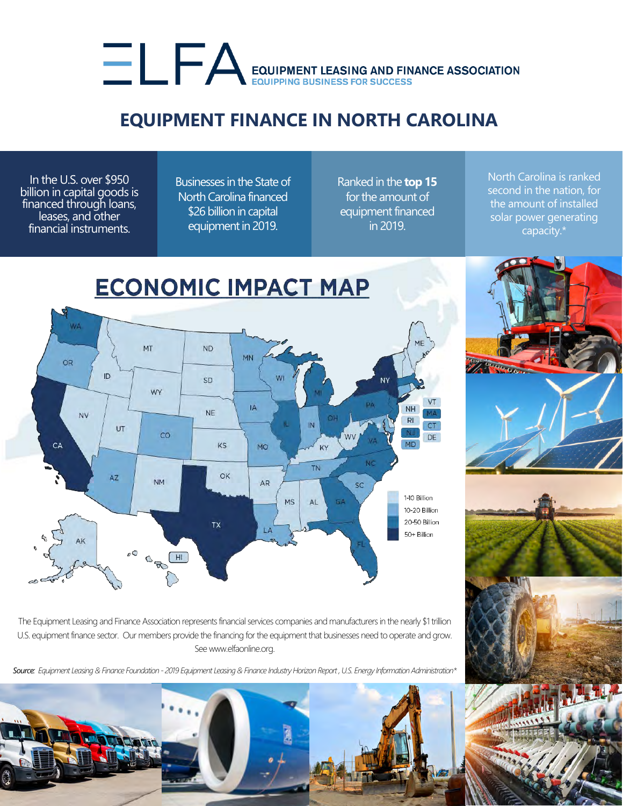## EQUIPMENT LEASING AND FINANCE ASSOCIATION

## **EQUIPMENT FINANCE IN NORTH CAROLINA**

In the U.S. over \$950 billion in capital goods is financed through loans, leases, and other financial instruments.

Businesses in the State of North Carolina financed \$26 billion in capital equipment in 2019.

Ranked in the **top 15** for the amount of equipment financed in 2019.

North Carolina is ranked second in the nation, for the amount of installed solar power generating capacity.\*





The Equipment Leasing and Finance Association represents financial services companies and manufacturers in the nearly \$1 trillion U.S. equipment finance sector. Our members provide the financing for the equipment that businesses need to operate and grow. See www.elfaonline.org.

*Source: Equipment Leasing & Finance Foundation - 2019 Equipment Leasing & Finance Industry Horizon Report , U.S. Energy Information Administration\**